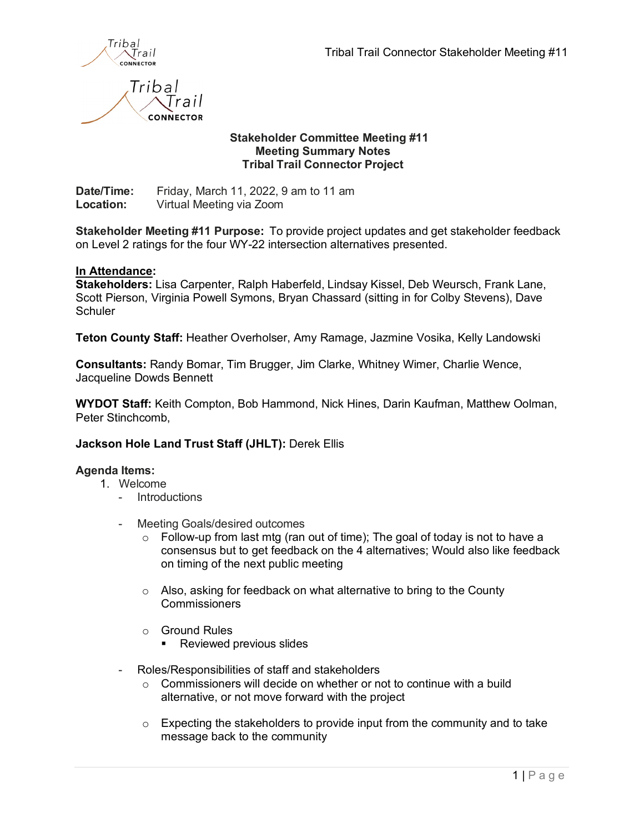

# **Stakeholder Committee Meeting #11 Meeting Summary Notes Tribal Trail Connector Project**

**Date/Time:** Friday, March 11, 2022, 9 am to 11 am **Location:** Virtual Meeting via Zoom

rail **CONNECTOR** 

**Stakeholder Meeting #11 Purpose:** To provide project updates and get stakeholder feedback on Level 2 ratings for the four WY-22 intersection alternatives presented.

## **In Attendance:**

**Stakeholders:** Lisa Carpenter, Ralph Haberfeld, Lindsay Kissel, Deb Weursch, Frank Lane, Scott Pierson, Virginia Powell Symons, Bryan Chassard (sitting in for Colby Stevens), Dave **Schuler** 

**Teton County Staff:** Heather Overholser, Amy Ramage, Jazmine Vosika, Kelly Landowski

**Consultants:** Randy Bomar, Tim Brugger, Jim Clarke, Whitney Wimer, Charlie Wence, Jacqueline Dowds Bennett

**WYDOT Staff:** Keith Compton, Bob Hammond, Nick Hines, Darin Kaufman, Matthew Oolman, Peter Stinchcomb,

## **Jackson Hole Land Trust Staff (JHLT):** Derek Ellis

### **Agenda Items:**

- 1. Welcome
	- **Introductions**
	- Meeting Goals/desired outcomes
		- $\circ$  Follow-up from last mtg (ran out of time); The goal of today is not to have a consensus but to get feedback on the 4 alternatives; Would also like feedback on timing of the next public meeting
		- o Also, asking for feedback on what alternative to bring to the County **Commissioners**
		- o Ground Rules
			- **Reviewed previous slides**
	- Roles/Responsibilities of staff and stakeholders
		- o Commissioners will decide on whether or not to continue with a build alternative, or not move forward with the project
		- o Expecting the stakeholders to provide input from the community and to take message back to the community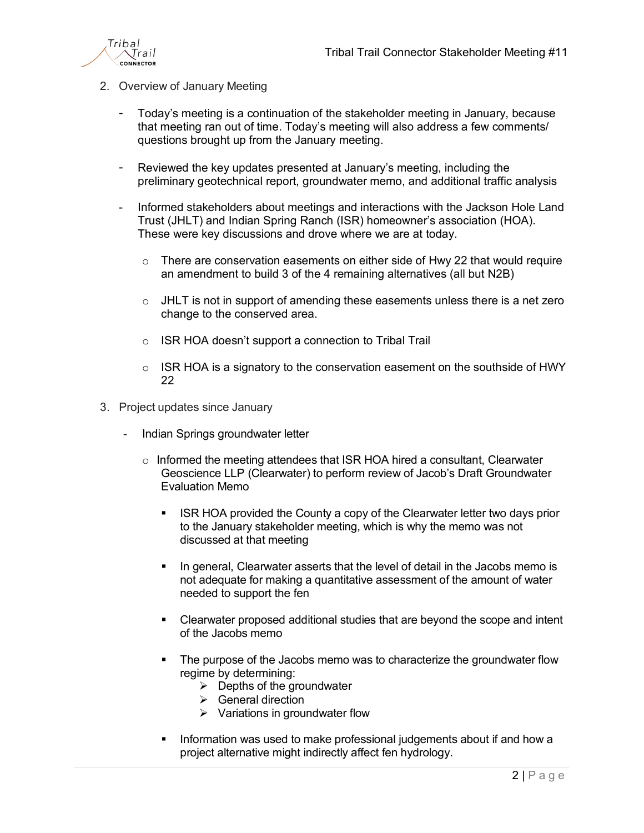

- 2. Overview of January Meeting
	- Today's meeting is a continuation of the stakeholder meeting in January, because that meeting ran out of time. Today's meeting will also address a few comments/ questions brought up from the January meeting.
	- Reviewed the key updates presented at January's meeting, including the preliminary geotechnical report, groundwater memo, and additional traffic analysis
	- Informed stakeholders about meetings and interactions with the Jackson Hole Land Trust (JHLT) and Indian Spring Ranch (ISR) homeowner's association (HOA). These were key discussions and drove where we are at today.
		- $\circ$  There are conservation easements on either side of Hwy 22 that would require an amendment to build 3 of the 4 remaining alternatives (all but N2B)
		- $\circ$  JHLT is not in support of amending these easements unless there is a net zero change to the conserved area.
		- o ISR HOA doesn't support a connection to Tribal Trail
		- $\circ$  ISR HOA is a signatory to the conservation easement on the southside of HWY 22
- 3. Project updates since January
	- Indian Springs groundwater letter
		- $\circ$  Informed the meeting attendees that ISR HOA hired a consultant, Clearwater Geoscience LLP (Clearwater) to perform review of Jacob's Draft Groundwater Evaluation Memo
			- **ISR HOA provided the County a copy of the Clearwater letter two days prior** to the January stakeholder meeting, which is why the memo was not discussed at that meeting
			- In general, Clearwater asserts that the level of detail in the Jacobs memo is not adequate for making a quantitative assessment of the amount of water needed to support the fen
			- Clearwater proposed additional studies that are beyond the scope and intent of the Jacobs memo
			- The purpose of the Jacobs memo was to characterize the groundwater flow regime by determining:
				- $\triangleright$  Depths of the groundwater
				- $\triangleright$  General direction
				- $\triangleright$  Variations in groundwater flow
			- Information was used to make professional judgements about if and how a project alternative might indirectly affect fen hydrology.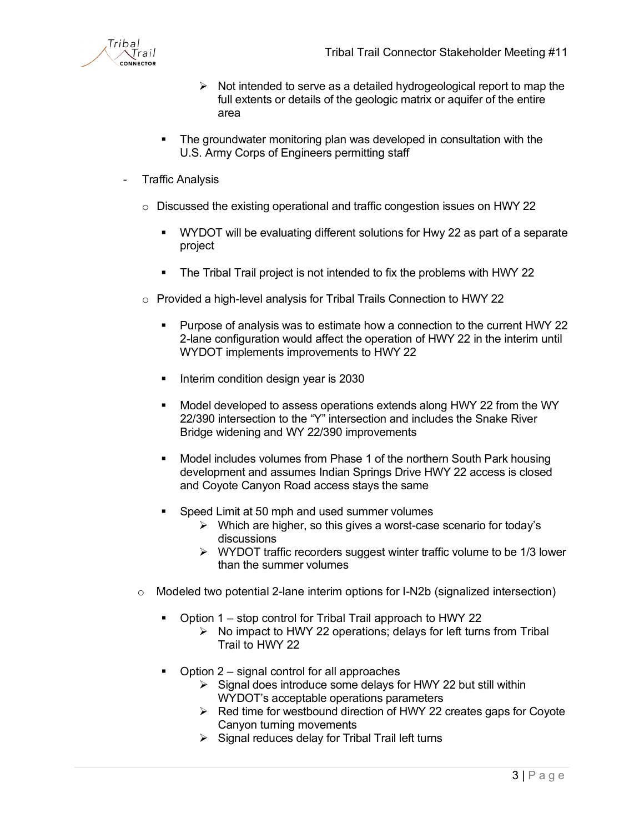- $\triangleright$  Not intended to serve as a detailed hydrogeological report to map the full extents or details of the geologic matrix or aquifer of the entire area
- The groundwater monitoring plan was developed in consultation with the U.S. Army Corps of Engineers permitting staff
- **Traffic Analysis** 
	- $\circ$  Discussed the existing operational and traffic congestion issues on HWY 22
		- WYDOT will be evaluating different solutions for Hwy 22 as part of a separate project
		- The Tribal Trail project is not intended to fix the problems with HWY 22
	- o Provided a high-level analysis for Tribal Trails Connection to HWY 22
		- Purpose of analysis was to estimate how a connection to the current HWY 22 2-lane configuration would affect the operation of HWY 22 in the interim until WYDOT implements improvements to HWY 22
		- Interim condition design year is 2030
		- Model developed to assess operations extends along HWY 22 from the WY 22/390 intersection to the "Y" intersection and includes the Snake River Bridge widening and WY 22/390 improvements
		- Model includes volumes from Phase 1 of the northern South Park housing development and assumes Indian Springs Drive HWY 22 access is closed and Coyote Canyon Road access stays the same
		- Speed Limit at 50 mph and used summer volumes
			- $\triangleright$  Which are higher, so this gives a worst-case scenario for today's discussions
			- $\triangleright$  WYDOT traffic recorders suggest winter traffic volume to be 1/3 lower than the summer volumes
	- $\circ$  Modeled two potential 2-lane interim options for I-N2b (signalized intersection)
		- Option 1 stop control for Tribal Trail approach to HWY 22
			- $\triangleright$  No impact to HWY 22 operations; delays for left turns from Tribal Trail to HWY 22
		- Option 2 signal control for all approaches
			- $\triangleright$  Signal does introduce some delays for HWY 22 but still within WYDOT's acceptable operations parameters
			- $\triangleright$  Red time for westbound direction of HWY 22 creates gaps for Coyote Canyon turning movements
			- $\triangleright$  Signal reduces delay for Tribal Trail left turns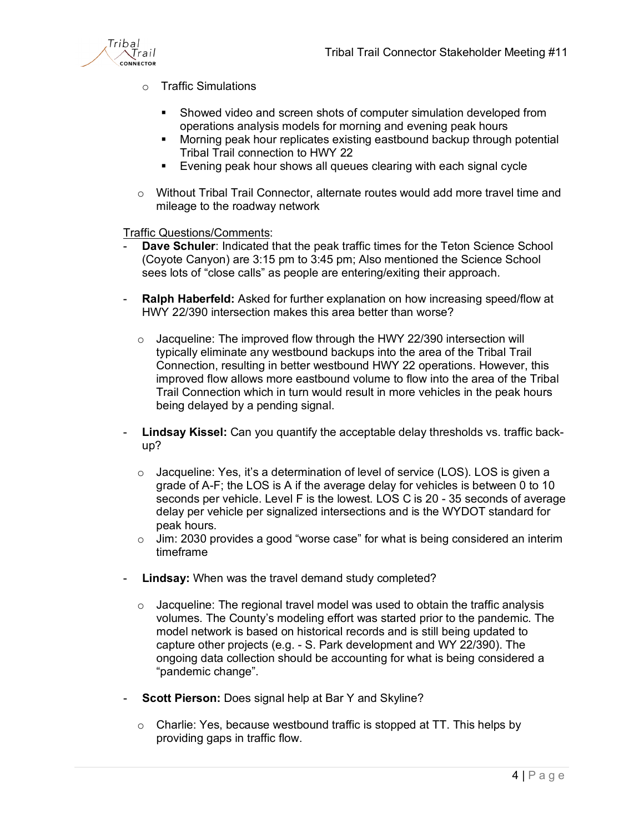

- o Traffic Simulations
	- Showed video and screen shots of computer simulation developed from operations analysis models for morning and evening peak hours
	- Morning peak hour replicates existing eastbound backup through potential Tribal Trail connection to HWY 22
	- **Evening peak hour shows all queues clearing with each signal cycle**
- $\circ$  Without Tribal Trail Connector, alternate routes would add more travel time and mileage to the roadway network

Traffic Questions/Comments:

- **Dave Schuler:** Indicated that the peak traffic times for the Teton Science School (Coyote Canyon) are 3:15 pm to 3:45 pm; Also mentioned the Science School sees lots of "close calls" as people are entering/exiting their approach.
- **Ralph Haberfeld:** Asked for further explanation on how increasing speed/flow at HWY 22/390 intersection makes this area better than worse?
	- o Jacqueline: The improved flow through the HWY 22/390 intersection will typically eliminate any westbound backups into the area of the Tribal Trail Connection, resulting in better westbound HWY 22 operations. However, this improved flow allows more eastbound volume to flow into the area of the Tribal Trail Connection which in turn would result in more vehicles in the peak hours being delayed by a pending signal.
- **Lindsay Kissel:** Can you quantify the acceptable delay thresholds vs. traffic backup?
	- $\circ$  Jacqueline: Yes, it's a determination of level of service (LOS). LOS is given a grade of A-F; the LOS is A if the average delay for vehicles is between 0 to 10 seconds per vehicle. Level F is the lowest. LOS C is 20 - 35 seconds of average delay per vehicle per signalized intersections and is the WYDOT standard for peak hours.
	- $\circ$  Jim: 2030 provides a good "worse case" for what is being considered an interim timeframe
- **Lindsay:** When was the travel demand study completed?
	- $\circ$  Jacqueline: The regional travel model was used to obtain the traffic analysis volumes. The County's modeling effort was started prior to the pandemic. The model network is based on historical records and is still being updated to capture other projects (e.g. - S. Park development and WY 22/390). The ongoing data collection should be accounting for what is being considered a "pandemic change".
- **Scott Pierson:** Does signal help at Bar Y and Skyline?
	- o Charlie: Yes, because westbound traffic is stopped at TT. This helps by providing gaps in traffic flow.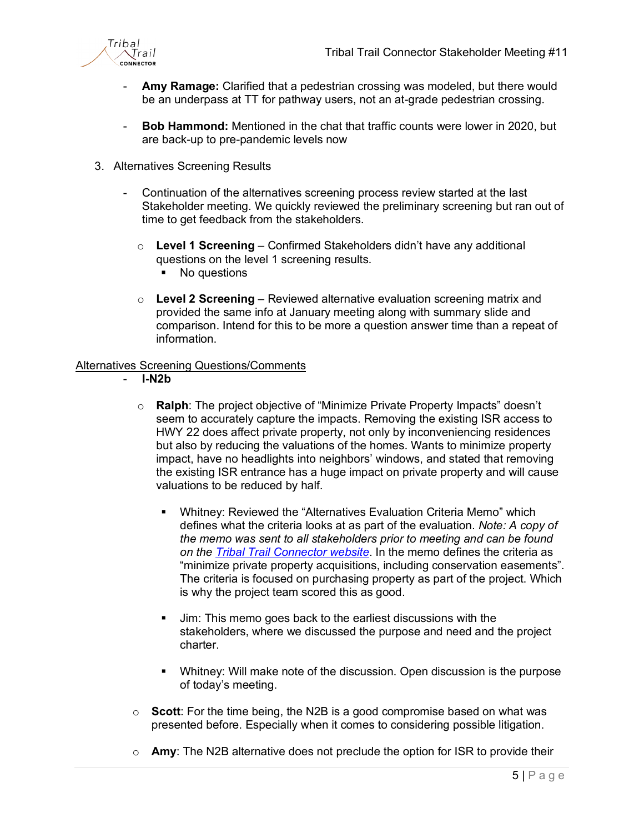

- Amy Ramage: Clarified that a pedestrian crossing was modeled, but there would be an underpass at TT for pathway users, not an at-grade pedestrian crossing.
- **Bob Hammond:** Mentioned in the chat that traffic counts were lower in 2020, but are back-up to pre-pandemic levels now
- 3. Alternatives Screening Results
	- Continuation of the alternatives screening process review started at the last Stakeholder meeting. We quickly reviewed the preliminary screening but ran out of time to get feedback from the stakeholders.
		- o **Level 1 Screening** Confirmed Stakeholders didn't have any additional questions on the level 1 screening results.
			- No questions
		- o **Level 2 Screening** Reviewed alternative evaluation screening matrix and provided the same info at January meeting along with summary slide and comparison. Intend for this to be more a question answer time than a repeat of information.

### Alternatives Screening Questions/Comments

- **I-N2b** 
	- o **Ralph**: The project objective of "Minimize Private Property Impacts" doesn't seem to accurately capture the impacts. Removing the existing ISR access to HWY 22 does affect private property, not only by inconveniencing residences but also by reducing the valuations of the homes. Wants to minimize property impact, have no headlights into neighbors' windows, and stated that removing the existing ISR entrance has a huge impact on private property and will cause valuations to be reduced by half.
		- Whitney: Reviewed the "Alternatives Evaluation Criteria Memo" which defines what the criteria looks at as part of the evaluation. *Note: A copy of the memo was sent to all stakeholders prior to meeting and can be found on the [Tribal Trail Connector website](https://www.tribaltrailconnector.com/)*. In the memo defines the criteria as "minimize private property acquisitions, including conservation easements". The criteria is focused on purchasing property as part of the project. Which is why the project team scored this as good.
		- **Jim:** This memo goes back to the earliest discussions with the stakeholders, where we discussed the purpose and need and the project charter.
		- Whitney: Will make note of the discussion. Open discussion is the purpose of today's meeting.
	- o **Scott**: For the time being, the N2B is a good compromise based on what was presented before. Especially when it comes to considering possible litigation.
	- o **Amy**: The N2B alternative does not preclude the option for ISR to provide their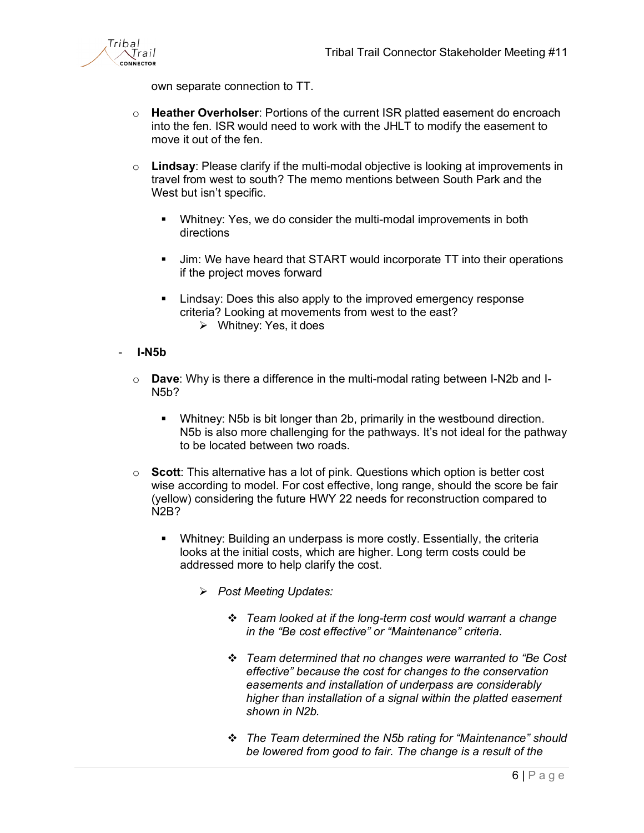

own separate connection to TT.

- o **Heather Overholser**: Portions of the current ISR platted easement do encroach into the fen. ISR would need to work with the JHLT to modify the easement to move it out of the fen.
- o **Lindsay**: Please clarify if the multi-modal objective is looking at improvements in travel from west to south? The memo mentions between South Park and the West but isn't specific.
	- Whitney: Yes, we do consider the multi-modal improvements in both directions
	- **Jim: We have heard that START would incorporate TT into their operations** if the project moves forward
	- **EXALL** Lindsay: Does this also apply to the improved emergency response criteria? Looking at movements from west to the east? Whitney: Yes, it does
- **I-N5b**
	- o **Dave**: Why is there a difference in the multi-modal rating between I-N2b and I-N5b?
		- Whitney: N5b is bit longer than 2b, primarily in the westbound direction. N5b is also more challenging for the pathways. It's not ideal for the pathway to be located between two roads.
	- o **Scott**: This alternative has a lot of pink. Questions which option is better cost wise according to model. For cost effective, long range, should the score be fair (yellow) considering the future HWY 22 needs for reconstruction compared to N2B?
		- Whitney: Building an underpass is more costly. Essentially, the criteria looks at the initial costs, which are higher. Long term costs could be addressed more to help clarify the cost.
			- *Post Meeting Updates:*
				- *Team looked at if the long-term cost would warrant a change in the "Be cost effective" or "Maintenance" criteria.*
				- *Team determined that no changes were warranted to "Be Cost effective" because the cost for changes to the conservation easements and installation of underpass are considerably higher than installation of a signal within the platted easement shown in N2b.*
				- *The Team determined the N5b rating for "Maintenance" should be lowered from good to fair. The change is a result of the*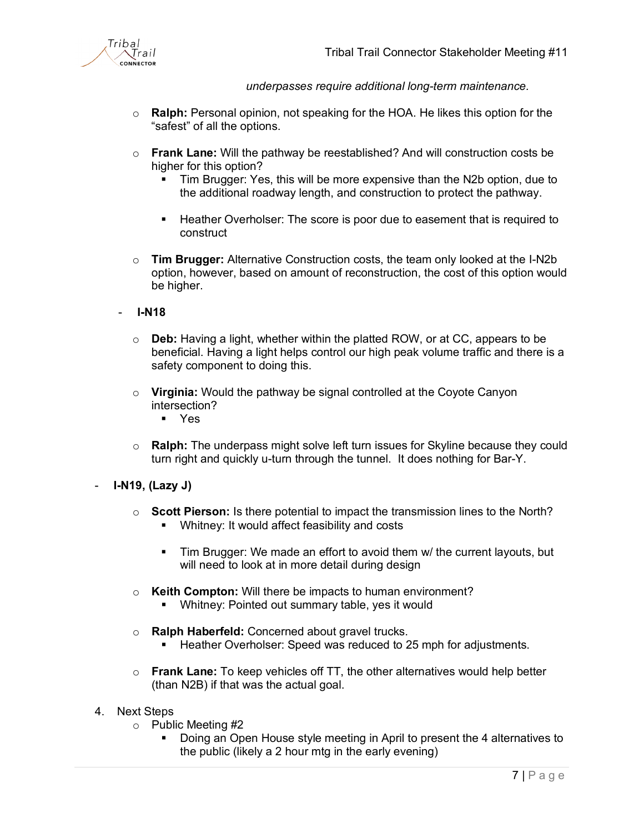

*underpasses require additional long-term maintenance.*

- o **Ralph:** Personal opinion, not speaking for the HOA. He likes this option for the "safest" of all the options.
- o **Frank Lane:** Will the pathway be reestablished? And will construction costs be higher for this option?
	- Tim Brugger: Yes, this will be more expensive than the N2b option, due to the additional roadway length, and construction to protect the pathway.
	- Heather Overholser: The score is poor due to easement that is required to construct
- o **Tim Brugger:** Alternative Construction costs, the team only looked at the I-N2b option, however, based on amount of reconstruction, the cost of this option would be higher.
- **I-N18**
	- o **Deb:** Having a light, whether within the platted ROW, or at CC, appears to be beneficial. Having a light helps control our high peak volume traffic and there is a safety component to doing this.
	- o **Virginia:** Would the pathway be signal controlled at the Coyote Canyon intersection?
		- Yes
	- o **Ralph:** The underpass might solve left turn issues for Skyline because they could turn right and quickly u-turn through the tunnel. It does nothing for Bar-Y.
- **I-N19, (Lazy J)**
	- o **Scott Pierson:** Is there potential to impact the transmission lines to the North? **Whitney: It would affect feasibility and costs** 
		- Tim Brugger: We made an effort to avoid them w/ the current layouts, but will need to look at in more detail during design
	- o **Keith Compton:** Will there be impacts to human environment?
		- Whitney: Pointed out summary table, yes it would
	- o **Ralph Haberfeld:** Concerned about gravel trucks.
		- Heather Overholser: Speed was reduced to 25 mph for adjustments.
	- o **Frank Lane:** To keep vehicles off TT, the other alternatives would help better (than N2B) if that was the actual goal.
- 4. Next Steps
	- o Public Meeting #2
		- Doing an Open House style meeting in April to present the 4 alternatives to the public (likely a 2 hour mtg in the early evening)